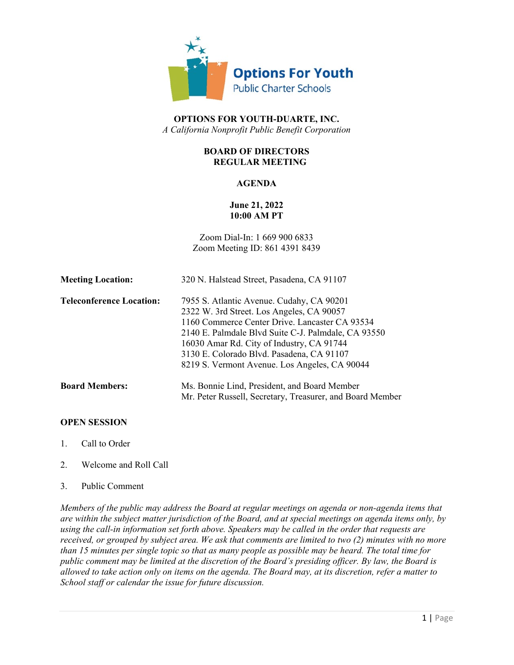

# **OPTIONS FOR YOUTH-DUARTE, INC.** *A California Nonprofit Public Benefit Corporation*

# **BOARD OF DIRECTORS REGULAR MEETING**

# **AGENDA**

# **June 21, 2022 10:00 AM PT**

Zoom Dial-In: 1 669 900 6833 Zoom Meeting ID: 861 4391 8439

| <b>Meeting Location:</b>        | 320 N. Halstead Street, Pasadena, CA 91107                |
|---------------------------------|-----------------------------------------------------------|
| <b>Teleconference Location:</b> | 7955 S. Atlantic Avenue. Cudahy, CA 90201                 |
|                                 | 2322 W. 3rd Street. Los Angeles, CA 90057                 |
|                                 | 1160 Commerce Center Drive. Lancaster CA 93534            |
|                                 | 2140 E. Palmdale Blvd Suite C-J. Palmdale, CA 93550       |
|                                 | 16030 Amar Rd. City of Industry, CA 91744                 |
|                                 | 3130 E. Colorado Blvd. Pasadena, CA 91107                 |
|                                 | 8219 S. Vermont Avenue. Los Angeles, CA 90044             |
| <b>Board Members:</b>           | Ms. Bonnie Lind, President, and Board Member              |
|                                 | Mr. Peter Russell, Secretary, Treasurer, and Board Member |

## **OPEN SESSION**

- 1. Call to Order
- 2. Welcome and Roll Call
- 3. Public Comment

*Members of the public may address the Board at regular meetings on agenda or non-agenda items that are within the subject matter jurisdiction of the Board, and at special meetings on agenda items only, by using the call-in information set forth above. Speakers may be called in the order that requests are received, or grouped by subject area. We ask that comments are limited to two (2) minutes with no more than 15 minutes per single topic so that as many people as possible may be heard. The total time for public comment may be limited at the discretion of the Board's presiding officer. By law, the Board is allowed to take action only on items on the agenda. The Board may, at its discretion, refer a matter to School staff or calendar the issue for future discussion.*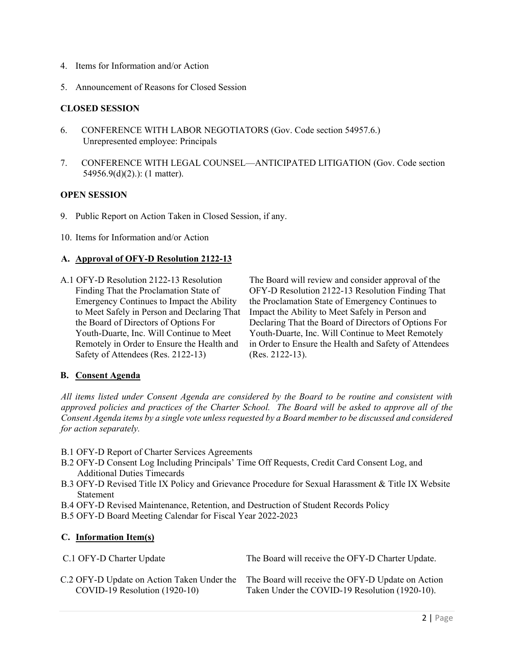- 4. Items for Information and/or Action
- 5. Announcement of Reasons for Closed Session

## **CLOSED SESSION**

- 6. CONFERENCE WITH LABOR NEGOTIATORS (Gov. Code section 54957.6.) Unrepresented employee: Principals
- 7. CONFERENCE WITH LEGAL COUNSEL—ANTICIPATED LITIGATION (Gov. Code section 54956.9(d)(2).): (1 matter).

#### **OPEN SESSION**

- 9. Public Report on Action Taken in Closed Session, if any.
- 10. Items for Information and/or Action

### **A. Approval of OFY-D Resolution 2122-13**

A.1 OFY-D Resolution 2122-13 Resolution Finding That the Proclamation State of Emergency Continues to Impact the Ability to Meet Safely in Person and Declaring That the Board of Directors of Options For Youth-Duarte, Inc. Will Continue to Meet Remotely in Order to Ensure the Health and Safety of Attendees (Res. 2122-13)

The Board will review and consider approval of the OFY-D Resolution 2122-13 Resolution Finding That the Proclamation State of Emergency Continues to Impact the Ability to Meet Safely in Person and Declaring That the Board of Directors of Options For Youth-Duarte, Inc. Will Continue to Meet Remotely in Order to Ensure the Health and Safety of Attendees (Res. 2122-13).

## **B. Consent Agenda**

*All items listed under Consent Agenda are considered by the Board to be routine and consistent with approved policies and practices of the Charter School. The Board will be asked to approve all of the Consent Agenda items by a single vote unless requested by a Board member to be discussed and considered for action separately.*

- B.1 OFY-D Report of Charter Services Agreements
- B.2 OFY-D Consent Log Including Principals' Time Off Requests, Credit Card Consent Log, and Additional Duties Timecards
- B.3 OFY-D Revised Title IX Policy and Grievance Procedure for Sexual Harassment & Title IX Website Statement
- B.4 OFY-D Revised Maintenance, Retention, and Destruction of Student Records Policy
- B.5 OFY-D Board Meeting Calendar for Fiscal Year 2022-2023

## **C. Information Item(s)**

C.1 OFY-D Charter Update The Board will receive the OFY-D Charter Update.

C.2 OFY-D Update on Action Taken Under the COVID-19 Resolution (1920-10)

The Board will receive the OFY-D Update on Action Taken Under the COVID-19 Resolution (1920-10).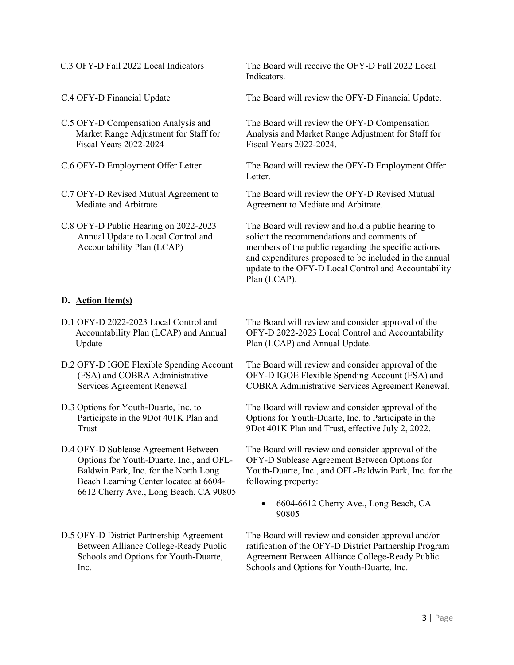- C.5 OFY-D Compensation Analysis and Market Range Adjustment for Staff for Fiscal Years 2022-2024
- 
- C.7 OFY-D Revised Mutual Agreement to Mediate and Arbitrate
- C.8 OFY-D Public Hearing on 2022-2023 Annual Update to Local Control and Accountability Plan (LCAP)

# **D. Action Item(s)**

- D.1 OFY-D 2022-2023 Local Control and Accountability Plan (LCAP) and Annual Update
- D.2 OFY-D IGOE Flexible Spending Account (FSA) and COBRA Administrative Services Agreement Renewal
- D.3 Options for Youth-Duarte, Inc. to Participate in the 9Dot 401K Plan and Trust
- D.4 OFY-D Sublease Agreement Between Options for Youth-Duarte, Inc., and OFL-Baldwin Park, Inc. for the North Long Beach Learning Center located at 6604- 6612 Cherry Ave., Long Beach, CA 90805
- D.5 OFY-D District Partnership Agreement Between Alliance College-Ready Public Schools and Options for Youth-Duarte, Inc.

C.3 OFY-D Fall 2022 Local Indicators The Board will receive the OFY-D Fall 2022 Local Indicators.

C.4 OFY-D Financial Update The Board will review the OFY-D Financial Update.

The Board will review the OFY-D Compensation Analysis and Market Range Adjustment for Staff for Fiscal Years 2022-2024.

C.6 OFY-D Employment Offer Letter The Board will review the OFY-D Employment Offer Letter.

> The Board will review the OFY-D Revised Mutual Agreement to Mediate and Arbitrate.

The Board will review and hold a public hearing to solicit the recommendations and comments of members of the public regarding the specific actions and expenditures proposed to be included in the annual update to the OFY-D Local Control and Accountability Plan (LCAP).

The Board will review and consider approval of the OFY-D 2022-2023 Local Control and Accountability Plan (LCAP) and Annual Update.

The Board will review and consider approval of the OFY-D IGOE Flexible Spending Account (FSA) and COBRA Administrative Services Agreement Renewal.

The Board will review and consider approval of the Options for Youth-Duarte, Inc. to Participate in the 9Dot 401K Plan and Trust, effective July 2, 2022.

The Board will review and consider approval of the OFY-D Sublease Agreement Between Options for Youth-Duarte, Inc., and OFL-Baldwin Park, Inc. for the following property:

• 6604-6612 Cherry Ave., Long Beach, CA 90805

The Board will review and consider approval and/or ratification of the OFY-D District Partnership Program Agreement Between Alliance College-Ready Public Schools and Options for Youth-Duarte, Inc.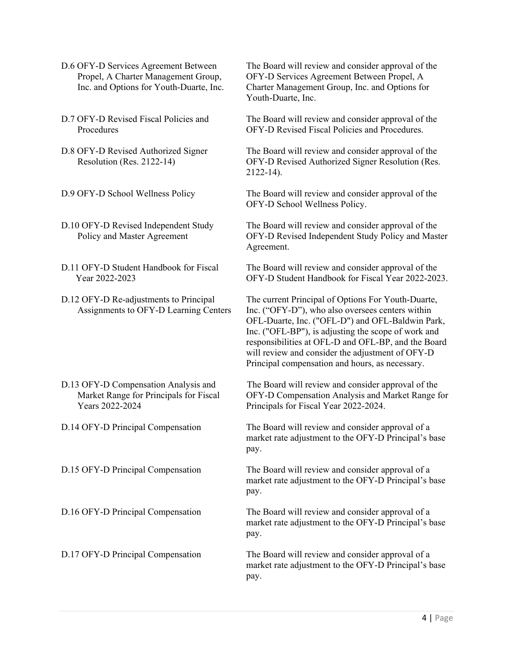- D.6 OFY-D Services Agreement Between Propel, A Charter Management Group, Inc. and Options for Youth-Duarte, Inc.
- D.7 OFY-D Revised Fiscal Policies and Procedures
- D.8 OFY-D Revised Authorized Signer Resolution (Res. 2122-14)
- 
- D.10 OFY-D Revised Independent Study Policy and Master Agreement
- D.11 OFY-D Student Handbook for Fiscal Year 2022-2023
- D.12 OFY-D Re-adjustments to Principal Assignments to OFY-D Learning Centers
- D.13 OFY-D Compensation Analysis and Market Range for Principals for Fiscal Years 2022-2024
- 

The Board will review and consider approval of the OFY-D Services Agreement Between Propel, A Charter Management Group, Inc. and Options for Youth-Duarte, Inc.

The Board will review and consider approval of the OFY-D Revised Fiscal Policies and Procedures.

The Board will review and consider approval of the OFY-D Revised Authorized Signer Resolution (Res. 2122-14).

D.9 OFY-D School Wellness Policy The Board will review and consider approval of the OFY-D School Wellness Policy.

> The Board will review and consider approval of the OFY-D Revised Independent Study Policy and Master Agreement.

> The Board will review and consider approval of the OFY-D Student Handbook for Fiscal Year 2022-2023.

> The current Principal of Options For Youth-Duarte, Inc. ("OFY-D"), who also oversees centers within OFL-Duarte, Inc. ("OFL-D") and OFL-Baldwin Park, Inc. ("OFL-BP"), is adjusting the scope of work and responsibilities at OFL-D and OFL-BP, and the Board will review and consider the adjustment of OFY-D Principal compensation and hours, as necessary.

> The Board will review and consider approval of the OFY-D Compensation Analysis and Market Range for Principals for Fiscal Year 2022-2024.

D.14 OFY-D Principal Compensation The Board will review and consider approval of a market rate adjustment to the OFY-D Principal's base pay.

D.15 OFY-D Principal Compensation The Board will review and consider approval of a market rate adjustment to the OFY-D Principal's base pay.

D.16 OFY-D Principal Compensation The Board will review and consider approval of a market rate adjustment to the OFY-D Principal's base pay.

D.17 OFY-D Principal Compensation The Board will review and consider approval of a market rate adjustment to the OFY-D Principal's base pay.